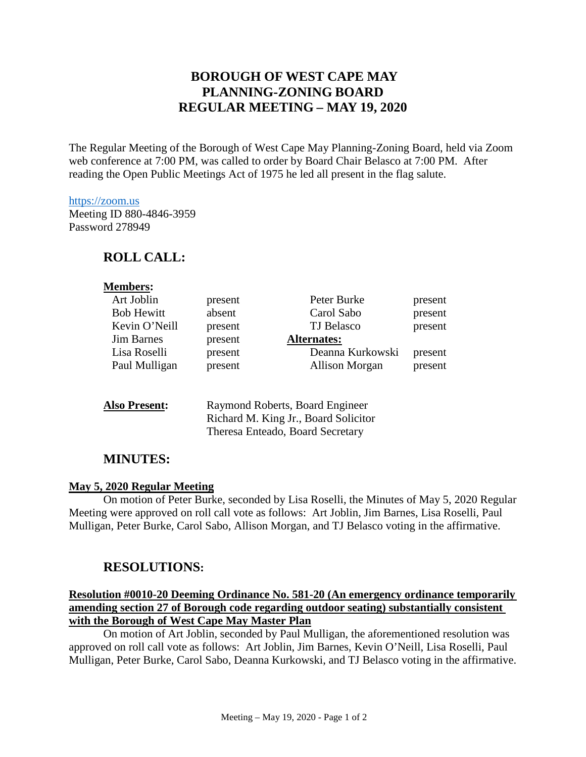# **BOROUGH OF WEST CAPE MAY PLANNING-ZONING BOARD REGULAR MEETING – MAY 19, 2020**

The Regular Meeting of the Borough of West Cape May Planning-Zoning Board, held via Zoom web conference at 7:00 PM, was called to order by Board Chair Belasco at 7:00 PM. After reading the Open Public Meetings Act of 1975 he led all present in the flag salute.

#### [https://zoom.us](https://zoom.us/)

Meeting ID 880-4846-3959 Password 278949

## **ROLL CALL:**

| <b>Members:</b>      |                                                                         |                  |         |
|----------------------|-------------------------------------------------------------------------|------------------|---------|
| Art Joblin           | present                                                                 | Peter Burke      | present |
| <b>Bob Hewitt</b>    | absent                                                                  | Carol Sabo       | present |
| Kevin O'Neill        | present                                                                 | TJ Belasco       | present |
| <b>Jim Barnes</b>    | present                                                                 | Alternates:      |         |
| Lisa Roselli         | present                                                                 | Deanna Kurkowski | present |
| Paul Mulligan        | present                                                                 | Allison Morgan   | present |
| <b>Also Present:</b> | Raymond Roberts, Board Engineer<br>Richard M. King Jr., Board Solicitor |                  |         |
|                      |                                                                         |                  |         |

Theresa Enteado, Board Secretary

## **MINUTES:**

#### **May 5, 2020 Regular Meeting**

On motion of Peter Burke, seconded by Lisa Roselli, the Minutes of May 5, 2020 Regular Meeting were approved on roll call vote as follows: Art Joblin, Jim Barnes, Lisa Roselli, Paul Mulligan, Peter Burke, Carol Sabo, Allison Morgan, and TJ Belasco voting in the affirmative.

## **RESOLUTIONS:**

### **Resolution #0010-20 Deeming Ordinance No. 581-20 (An emergency ordinance temporarily amending section 27 of Borough code regarding outdoor seating) substantially consistent with the Borough of West Cape May Master Plan**

On motion of Art Joblin, seconded by Paul Mulligan, the aforementioned resolution was approved on roll call vote as follows: Art Joblin, Jim Barnes, Kevin O'Neill, Lisa Roselli, Paul Mulligan, Peter Burke, Carol Sabo, Deanna Kurkowski, and TJ Belasco voting in the affirmative.